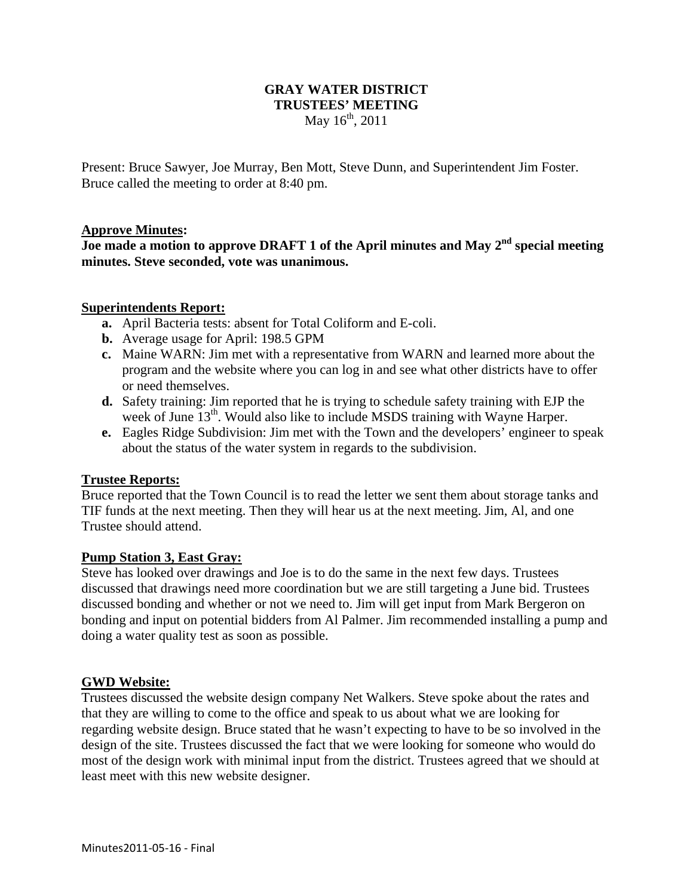# **GRAY WATER DISTRICT TRUSTEES' MEETING**  May  $16^{th}$ , 2011

Present: Bruce Sawyer, Joe Murray, Ben Mott, Steve Dunn, and Superintendent Jim Foster. Bruce called the meeting to order at 8:40 pm.

#### **Approve Minutes:**

**Joe made a motion to approve DRAFT 1 of the April minutes and May 2nd special meeting minutes. Steve seconded, vote was unanimous.** 

#### **Superintendents Report:**

- **a.** April Bacteria tests: absent for Total Coliform and E-coli.
- **b.** Average usage for April: 198.5 GPM
- **c.** Maine WARN: Jim met with a representative from WARN and learned more about the program and the website where you can log in and see what other districts have to offer or need themselves.
- **d.** Safety training: Jim reported that he is trying to schedule safety training with EJP the week of June  $13<sup>th</sup>$ . Would also like to include MSDS training with Wayne Harper.
- **e.** Eagles Ridge Subdivision: Jim met with the Town and the developers' engineer to speak about the status of the water system in regards to the subdivision.

## **Trustee Reports:**

Bruce reported that the Town Council is to read the letter we sent them about storage tanks and TIF funds at the next meeting. Then they will hear us at the next meeting. Jim, Al, and one Trustee should attend.

## **Pump Station 3, East Gray:**

Steve has looked over drawings and Joe is to do the same in the next few days. Trustees discussed that drawings need more coordination but we are still targeting a June bid. Trustees discussed bonding and whether or not we need to. Jim will get input from Mark Bergeron on bonding and input on potential bidders from Al Palmer. Jim recommended installing a pump and doing a water quality test as soon as possible.

#### **GWD Website:**

Trustees discussed the website design company Net Walkers. Steve spoke about the rates and that they are willing to come to the office and speak to us about what we are looking for regarding website design. Bruce stated that he wasn't expecting to have to be so involved in the design of the site. Trustees discussed the fact that we were looking for someone who would do most of the design work with minimal input from the district. Trustees agreed that we should at least meet with this new website designer.